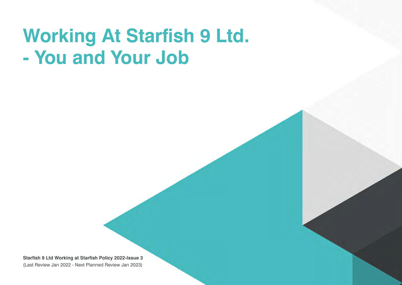# **Working At Starfish 9 Ltd. - You and Your Job**

**Starfish 9 Ltd Working at Starfish Policy 2022-Issue 3**  (Last Review Jan 2022 - Next Planned Review Jan 2023)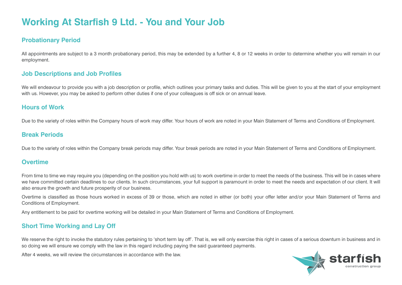# **Working At Starfish 9 Ltd. - You and Your Job**

# **Probationary Period**

All appointments are subject to a 3 month probationary period, this may be extended by a further 4, 8 or 12 weeks in order to determine whether you will remain in our employment.

# **Job Descriptions and Job Profiles**

We will endeavour to provide you with a job description or profile, which outlines your primary tasks and duties. This will be given to you at the start of your employment with us. However, you may be asked to perform other duties if one of your colleagues is off sick or on annual leave.

# **Hours of Work**

Due to the variety of roles within the Company hours of work may differ. Your hours of work are noted in your Main Statement of Terms and Conditions of Employment.

# **Break Periods**

Due to the variety of roles within the Company break periods may differ. Your break periods are noted in your Main Statement of Terms and Conditions of Employment.

# **Overtime**

From time to time we may require you (depending on the position you hold with us) to work overtime in order to meet the needs of the business. This will be in cases where we have committed certain deadlines to our clients. In such circumstances, your full support is paramount in order to meet the needs and expectation of our client. It will also ensure the growth and future prosperity of our business.

Overtime is classified as those hours worked in excess of 39 or those, which are noted in either (or both) your offer letter and/or your Main Statement of Terms and Conditions of Employment.

Any entitlement to be paid for overtime working will be detailed in your Main Statement of Terms and Conditions of Employment.

# **Short Time Working and Lay Off**

We reserve the right to invoke the statutory rules pertaining to 'short term lay off'. That is, we will only exercise this right in cases of a serious downturn in business and in so doing we will ensure we comply with the law in this regard including paying the said guaranteed payments.

After 4 weeks, we will review the circumstances in accordance with the law.

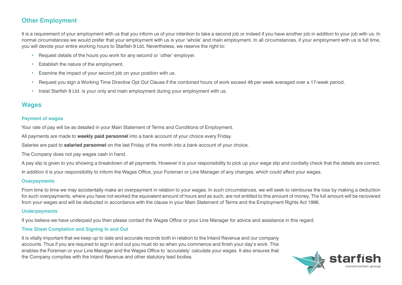# **Other Employment**

It is a requirement of your employment with us that you inform us of your intention to take a second job or indeed if you have another job in addition to your job with us. In normal circumstances we would prefer that your employment with us is your 'whole' and main employment. In all circumstances, if your employment with us is full time, you will devote your entire working hours to Starfish 9 Ltd. Nevertheless, we reserve the right to:

- Request details of the hours you work for any second or 'other' employer.
- Establish the nature of the employment.
- Examine the impact of your second job on your position with us.
- Request you sign a Working Time Directive Opt Out Clause if the combined hours of work exceed 48 per week averaged over a 17-week period.
- Insist Starfish 9 Ltd. is your only and main employment during your employment with us.

# **Wages**

#### **Payment of wages**

Your rate of pay will be as detailed in your Main Statement of Terms and Conditions of Employment.

All payments are made to **weekly paid personnel** into a bank account of your choice every Friday.

Salaries are paid to **salaried personnel** on the last Friday of the month into a bank account of your choice.

The Company does not pay wages cash in hand.

A pay slip is given to you showing a breakdown of all payments. However it is your responsibility to pick up your wage slip and cordially check that the details are correct.

In addition it is your responsibility to inform the Wages Office, your Foreman or Line Manager of any changes, which could affect your wages.

#### **Overpayments**

From time to time we may accidentally make an overpayment in relation to your wages. In such circumstances, we will seek to reimburse the loss by making a deduction for such overpayments, where you have not worked the equivalent amount of hours and as such, are not entitled to this amount of money. The full amount will be recovered from your wages and will be deducted in accordance with the clause in your Main Statement of Terms and the Employment Rights Act 1996.

#### **Underpayments**

If you believe we have underpaid you then please contact the Wages Office or your Line Manager for advice and assistance in this regard.

#### **Time Sheet Completion and Signing In and Out**

It is vitally important that we keep up to date and accurate records both in relation to the Inland Revenue and our company accounts. Thus if you are required to sign in and out you must do so when you commence and finish your day's work. This enables the Foreman or your Line Manager and the Wages Office to 'accurately' calculate your wages. It also ensures that the Company complies with the Inland Revenue and other statutory lead bodies.

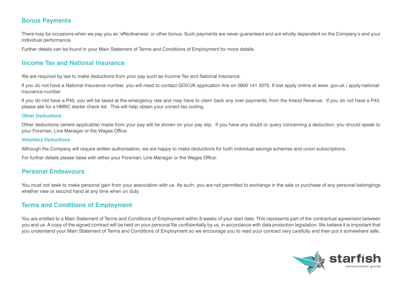# **Bonus Payments**

There may be occasions when we pay you an 'effectiveness' or other bonus. Such payments are never guaranteed and are wholly dependent on the Company's and your individual performance.

Further details can be found in your Main Statement of Terms and Conditions of Employment for more details.

# **Income Tax and National Insurance**

We are required by law to make deductions from your pay such as Income Tax and National Insurance.

If you do not have a National Insurance number, you will need to contact GOV.UK application line on 0800 141 2075. If lost apply online at www. gov.uk / apply-nationalinsurance-number

If you do not have a P45, you will be taxed at the emergency rate and may have to claim back any over payments, from the Inland Revenue. If you do not have a P45, please ask for a HMRC starter check list. This will help obtain your correct tax coding.

#### **Other Deductions**

Other deductions (where applicable) made from your pay will be shown on your pay slip. If you have any doubt or query concerning a deduction, you should speak to your Foreman, Line Manager or the Wages Office.

#### **Voluntary Deductions**

Although the Company will require written authorisation, we are happy to make deductions for both individual savings schemes and union subscriptions.

For further details please liaise with either your Foreman, Line Manager or the Wages Office.

# **Personal Endeavours**

You must not seek to make personal gain from your association with us. As such, you are not permitted to exchange in the sale or purchase of any personal belongings whether new or second hand at any time when on duty.

# **Terms and Conditions of Employment**

You are entitled to a Main Statement of Terms and Conditions of Employment within 8 weeks of your start date. This represents part of the contractual agreement between you and us. A copy of the signed contract will be held on your personal file confidentially by us, in accordance with data protection legislation. We believe it is important that you understand your Main Statement of Terms and Conditions of Employment so we encourage you to read your contract very carefully and then put it somewhere safe.